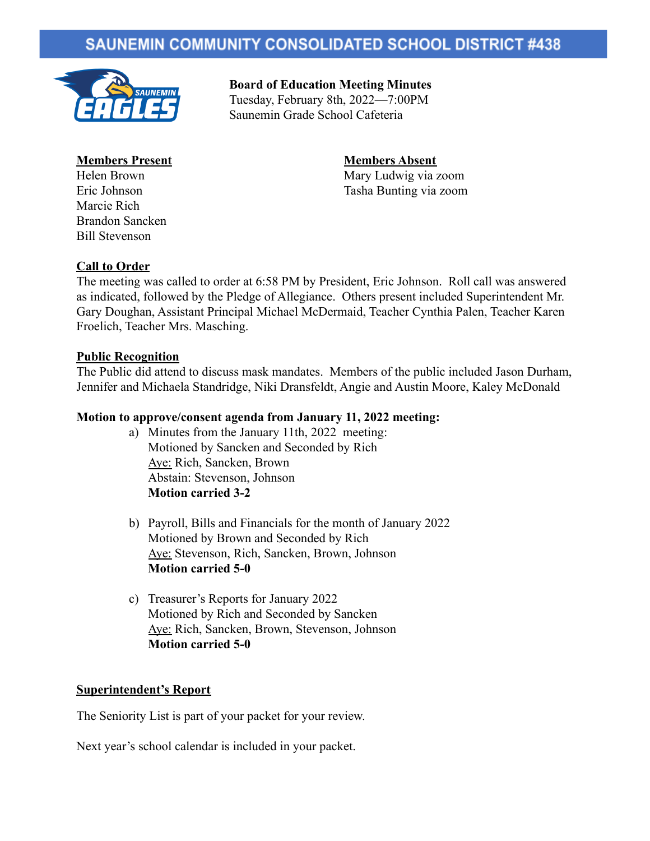## **SAUNEMIN COMMUNITY CONSOLIDATED SCHOOL DISTRICT #438**



**Board of Education Meeting Minutes** Tuesday, February 8th, 2022—7:00PM Saunemin Grade School Cafeteria

# **Members Present Members Absent**

Marcie Rich Brandon Sancken Bill Stevenson

Helen Brown Mary Ludwig via zoom Eric Johnson Tasha Bunting via zoom

#### **Call to Order**

The meeting was called to order at 6:58 PM by President, Eric Johnson. Roll call was answered as indicated, followed by the Pledge of Allegiance. Others present included Superintendent Mr. Gary Doughan, Assistant Principal Michael McDermaid, Teacher Cynthia Palen, Teacher Karen Froelich, Teacher Mrs. Masching.

#### **Public Recognition**

The Public did attend to discuss mask mandates. Members of the public included Jason Durham, Jennifer and Michaela Standridge, Niki Dransfeldt, Angie and Austin Moore, Kaley McDonald

#### **Motion to approve/consent agenda from January 11, 2022 meeting:**

- a) Minutes from the January 11th, 2022 meeting: Motioned by Sancken and Seconded by Rich Aye: Rich, Sancken, Brown Abstain: Stevenson, Johnson **Motion carried 3-2**
- b) Payroll, Bills and Financials for the month of January 2022 Motioned by Brown and Seconded by Rich Aye: Stevenson, Rich, Sancken, Brown, Johnson **Motion carried 5-0**
- c) Treasurer's Reports for January 2022 Motioned by Rich and Seconded by Sancken Aye: Rich, Sancken, Brown, Stevenson, Johnson **Motion carried 5-0**

#### **Superintendent's Report**

The Seniority List is part of your packet for your review.

Next year's school calendar is included in your packet.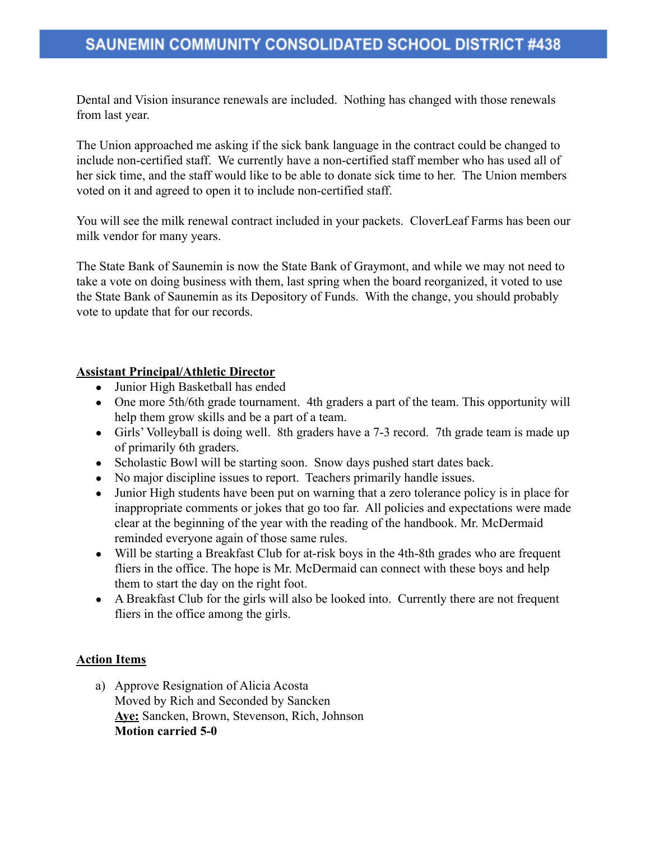Dental and Vision insurance renewals are included. Nothing has changed with those renewals from last year.

The Union approached me asking if the sick bank language in the contract could be changed to include non-certified staff. We currently have a non-certified staff member who has used all of her sick time, and the staff would like to be able to donate sick time to her. The Union members voted on it and agreed to open it to include non-certified staff.

You will see the milk renewal contract included in your packets. CloverLeaf Farms has been our milk vendor for many years.

The State Bank of Saunemin is now the State Bank of Graymont, and while we may not need to take a vote on doing business with them, last spring when the board reorganized, it voted to use the State Bank of Saunemin as its Depository of Funds. With the change, you should probably vote to update that for our records.

#### **Assistant Principal/Athletic Director**

- Junior High Basketball has ended
- One more 5th/6th grade tournament. 4th graders a part of the team. This opportunity will help them grow skills and be a part of a team.
- Girls' Volleyball is doing well. 8th graders have a 7-3 record. 7th grade team is made up of primarily 6th graders.
- Scholastic Bowl will be starting soon. Snow days pushed start dates back.
- No major discipline issues to report. Teachers primarily handle issues.
- Junior High students have been put on warning that a zero tolerance policy is in place for inappropriate comments or jokes that go too far. All policies and expectations were made clear at the beginning of the year with the reading of the handbook. Mr. McDermaid reminded everyone again of those same rules.
- Will be starting a Breakfast Club for at-risk boys in the 4th-8th grades who are frequent fliers in the office. The hope is Mr. McDermaid can connect with these boys and help them to start the day on the right foot.
- A Breakfast Club for the girls will also be looked into. Currently there are not frequent fliers in the office among the girls.

#### **Action Items**

a) Approve Resignation of Alicia Acosta Moved by Rich and Seconded by Sancken **Aye:** Sancken, Brown, Stevenson, Rich, Johnson **Motion carried 5-0**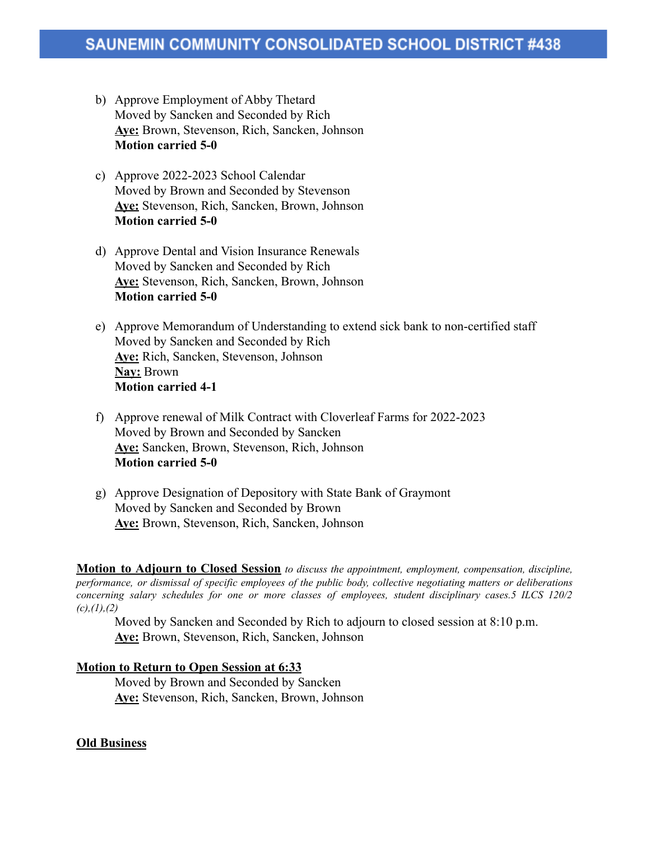- b) Approve Employment of Abby Thetard Moved by Sancken and Seconded by Rich **Aye:** Brown, Stevenson, Rich, Sancken, Johnson **Motion carried 5-0**
- c) Approve 2022-2023 School Calendar Moved by Brown and Seconded by Stevenson **Aye:** Stevenson, Rich, Sancken, Brown, Johnson **Motion carried 5-0**
- d) Approve Dental and Vision Insurance Renewals Moved by Sancken and Seconded by Rich **Aye:** Stevenson, Rich, Sancken, Brown, Johnson **Motion carried 5-0**
- e) Approve Memorandum of Understanding to extend sick bank to non-certified staff Moved by Sancken and Seconded by Rich **Aye:** Rich, Sancken, Stevenson, Johnson **Nay:** Brown **Motion carried 4-1**
- f) Approve renewal of Milk Contract with Cloverleaf Farms for 2022-2023 Moved by Brown and Seconded by Sancken **Aye:** Sancken, Brown, Stevenson, Rich, Johnson **Motion carried 5-0**
- g) Approve Designation of Depository with State Bank of Graymont Moved by Sancken and Seconded by Brown **Aye:** Brown, Stevenson, Rich, Sancken, Johnson

**Motion to Adjourn to Closed Session** *to discuss the appointment, employment, compensation, discipline, performance, or dismissal of specific employees of the public body, collective negotiating matters or deliberations concerning salary schedules for one or more classes of employees, student disciplinary cases.5 ILCS 120/2 (c),(1),(2)*

Moved by Sancken and Seconded by Rich to adjourn to closed session at 8:10 p.m. **Aye:** Brown, Stevenson, Rich, Sancken, Johnson

#### **Motion to Return to Open Session at 6:33**

Moved by Brown and Seconded by Sancken **Aye:** Stevenson, Rich, Sancken, Brown, Johnson

#### **Old Business**